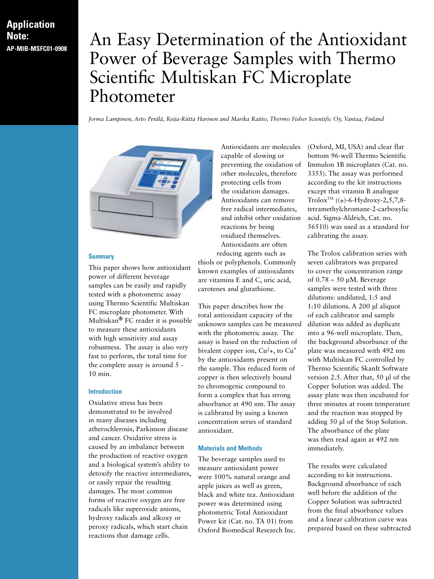# **Application Note:**

# **ADDE:** An Easy Determination of the Antioxidant Power of Beverage Samples with Thermo Scientific Multiskan FC Microplate Photometer

*Jorma Lampinen, Arto Perälä, Reija-Riitta Harinen and Marika Raitio, Thermo Fisher Scientific Oy, Vantaa, Finland*



#### **Summary**

This paper shows how antioxidant power of different beverage samples can be easily and rapidly tested with a photometric assay using Thermo Scientific Multiskan FC microplate photometer. With Multiskan**®** FC reader it is possible to measure these antioxidants with high sensitivity and assay robustness. The assay is also very fast to perform, the total time for the complete assay is around 5 - 10 min.

#### **Introduction**

Oxidative stress has been demonstrated to be involved in many diseases including atherochlerosis, Parkinson disease and cancer. Oxidative stress is caused by an imbalance between the production of reactive oxygen and a biological system's ability to detoxify the reactive intermediates, or easily repair the resulting damages. The most common forms of reactive oxygen are free radicals like superoxide anions, hydroxy radicals and alkoxy or peroxy radicals, which start chain reactions that damage cells.

Antioxidants are molecules capable of slowing or preventing the oxidation of other molecules, therefore protecting cells from the oxidation damages. Antioxidants can remove free radical intermediates, and inhibit other oxidation reactions by being oxidized themselves. Antioxidants are often reducing agents such as

thiols or polyphenols. Commonly known examples of antioxidants are vitamins E and C, uric acid, carotenes and glutathione.

This paper describes how the total antioxidant capacity of the unknown samples can be measured with the photometric assay. The assay is based on the reduction of bivalent copper ion,  $Cu<sup>2</sup>$ +, to  $Cu<sup>+</sup>$ by the antioxidants present on the sample. This reduced form of copper is then selectively bound to chromogenic compound to form a complex that has strong absorbance at 490 nm. The assay is calibrated by using a known concentration series of standard antioxidant.

## **Materials and Methods**

The beverage samples used to measure antioxidant power were 100% natural orange and apple juices as well as green, black and white tea. Antioxidant power was determined using photometric Total Antioxidant Power kit (Cat. no. TA 01) from Oxford Biomedical Research Inc. (Oxford, MI, USA) and clear flat bottom 96-well Thermo Scientific Immulon 1B microplates (Cat. no. 3355). The assay was performed according to the kit instructions except that vitamin B analogue Trolox<sup>TM</sup> (( $\pm$ )-6-Hydroxy-2,5,7,8tetramethylchromane-2-carboxylic acid. Sigma-Aldrich, Cat. no. 56510) was used as a standard for calibrating the assay.

The Trolox calibration series with seven calibrators was prepared to cover the concentration range of  $0.78 - 50$  µM. Beverage samples were tested with three dilutions: undiluted, 1:5 and 1:10 dilutions. A 200 μl aliquot of each calibrator and sample dilution was added as duplicate into a 96-well microplate. Then, the background absorbance of the plate was measured with 492 nm with Multiskan FC controlled by Thermo Scientific SkanIt Software version 2.5. After that, 50 μl of the Copper Solution was added. The assay plate was then incubated for three minutes at room temperature and the reaction was stopped by adding 50 μl of the Stop Solution. The absorbance of the plate was then read again at 492 nm immediately.

The results were calculated according to kit instructions. Background absorbance of each well before the addition of the Copper Solution was subtracted from the final absorbance values and a linear calibration curve was prepared based on these subtracted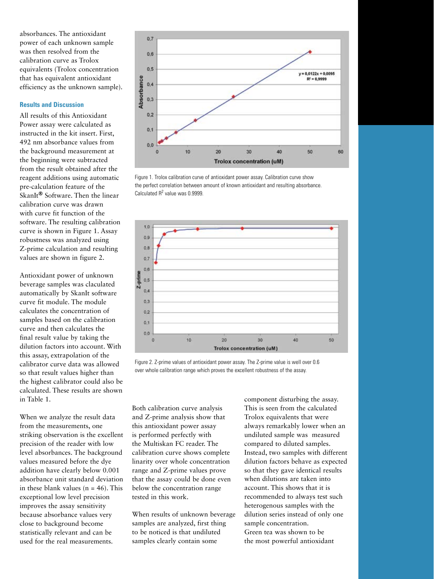absorbances. The antioxidant power of each unknown sample was then resolved from the calibration curve as Trolox equivalents (Trolox concentration that has equivalent antioxidant efficiency as the unknown sample).

#### **Results and Discussion**

All results of this Antioxidant Power assay were calculated as instructed in the kit insert. First, 492 nm absorbance values from the background measurement at the beginning were subtracted from the result obtained after the reagent additions using automatic pre-calculation feature of the SkanIt**®** Software. Then the linear calibration curve was drawn with curve fit function of the software. The resulting calibration curve is shown in Figure 1. Assay robustness was analyzed using Z-prime calculation and resulting values are shown in figure 2.

Antioxidant power of unknown beverage samples was claculated automatically by SkanIt software curve fit module. The module calculates the concentration of samples based on the calibration curve and then calculates the final result value by taking the dilution factors into account. With this assay, extrapolation of the calibrator curve data was allowed so that result values higher than the highest calibrator could also be calculated. These results are shown in Table 1.

When we analyze the result data from the measurements, one striking observation is the excellent precision of the reader with low level absorbances. The background values measured before the dye addition have clearly below 0.001 absorbance unit standard deviation in these blank values  $(n = 46)$ . This exceptional low level precision improves the assay sensitivity because absorbance values very close to background become statistically relevant and can be used for the real measurements.



Figure 1. Trolox calibration curve of antioxidant power assay. Calibration curve show the perfect correlation between amount of known antioxidant and resulting absorbance. Calculated  $R^2$  value was 0.9999.



Figure 2. Z-prime values of antioxidant power assay. The Z-prime value is well over 0.6 over whole calibration range which proves the excellent robustness of the assay.

Both calibration curve analysis and Z-prime analysis show that this antioxidant power assay is performed perfectly with the Multiskan FC reader. The calibration curve shows complete linarity over whole concentration range and Z-prime values prove that the assay could be done even below the concentration range tested in this work.

When results of unknown beverage samples are analyzed, first thing to be noticed is that undiluted samples clearly contain some

component disturbing the assay. This is seen from the calculated Trolox equivalents that were always remarkably lower when an undiluted sample was measured compared to diluted samples. Instead, two samples with different dilution factors behave as expected so that they gave identical results when dilutions are taken into account. This shows that it is recommended to always test such heterogenous samples with the dilution series instead of only one sample concentration. Green tea was shown to be the most powerful antioxidant